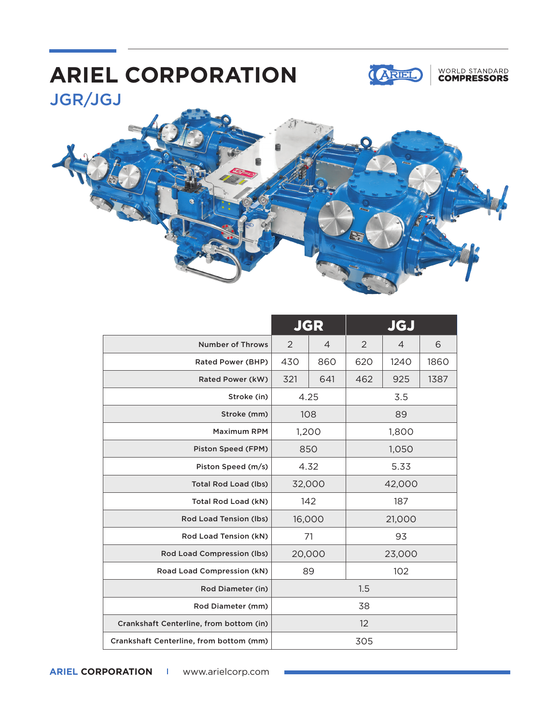## JGR/JGJ **ARIEL CORPORATION**



### WORLD STANDARD<br>**COMPRESSORS**



|                                         | <b>JGR</b> |                | JGJ    |      |      |
|-----------------------------------------|------------|----------------|--------|------|------|
| <b>Number of Throws</b>                 | 2          | $\overline{4}$ | 2      | 4    | 6    |
| Rated Power (BHP)                       | 430        | 860            | 620    | 1240 | 1860 |
| Rated Power (kW)                        | 321        | 641            | 462    | 925  | 1387 |
| Stroke (in)                             | 4.25       |                | 3.5    |      |      |
| Stroke (mm)                             | 108        |                | 89     |      |      |
| <b>Maximum RPM</b>                      | 1,200      |                | 1,800  |      |      |
| Piston Speed (FPM)                      | 850        |                | 1,050  |      |      |
| Piston Speed (m/s)                      | 4.32       |                | 5.33   |      |      |
| <b>Total Rod Load (lbs)</b>             | 32,000     |                | 42,000 |      |      |
| Total Rod Load (kN)                     | 142        |                | 187    |      |      |
| Rod Load Tension (lbs)                  | 16,000     |                | 21,000 |      |      |
| Rod Load Tension (kN)                   | 71         |                | 93     |      |      |
| Rod Load Compression (lbs)              | 20,000     |                | 23,000 |      |      |
| Road Load Compression (kN)              | 89         |                | 102    |      |      |
| Rod Diameter (in)                       | 1.5        |                |        |      |      |
| Rod Diameter (mm)                       | 38         |                |        |      |      |
| Crankshaft Centerline, from bottom (in) | 12         |                |        |      |      |
| Crankshaft Centerline, from bottom (mm) | 305        |                |        |      |      |

**ARIEL CORPORATION I** www.arielcorp.com